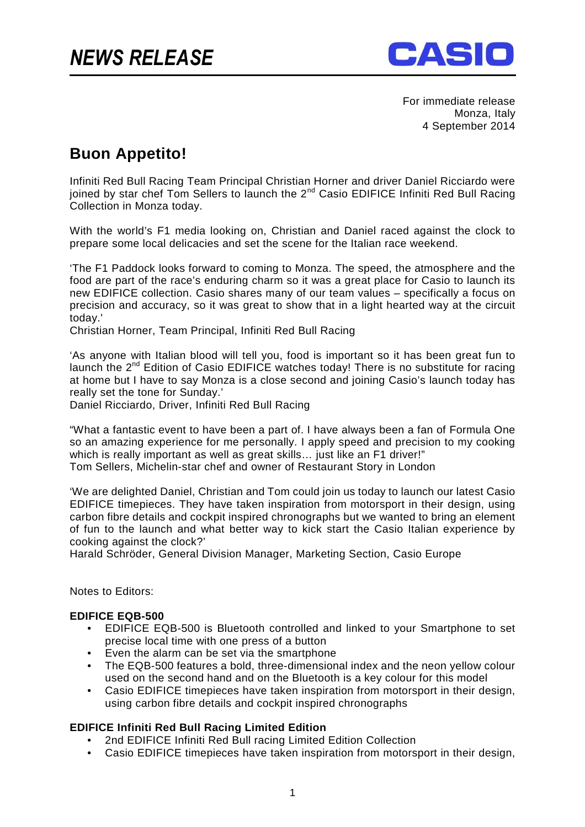

For immediate release Monza, Italy 4 September 2014

## **Buon Appetito!**

Infiniti Red Bull Racing Team Principal Christian Horner and driver Daniel Ricciardo were joined by star chef Tom Sellers to launch the 2nd Casio EDIFICE Infiniti Red Bull Racing Collection in Monza today.

With the world's F1 media looking on, Christian and Daniel raced against the clock to prepare some local delicacies and set the scene for the Italian race weekend.

'The F1 Paddock looks forward to coming to Monza. The speed, the atmosphere and the food are part of the race's enduring charm so it was a great place for Casio to launch its new EDIFICE collection. Casio shares many of our team values – specifically a focus on precision and accuracy, so it was great to show that in a light hearted way at the circuit today.'

Christian Horner, Team Principal, Infiniti Red Bull Racing

'As anyone with Italian blood will tell you, food is important so it has been great fun to launch the  $2^{nd}$  Edition of Casio EDIFICE watches today! There is no substitute for racing at home but I have to say Monza is a close second and joining Casio's launch today has really set the tone for Sunday.'

Daniel Ricciardo, Driver, Infiniti Red Bull Racing

"What a fantastic event to have been a part of. I have always been a fan of Formula One so an amazing experience for me personally. I apply speed and precision to my cooking which is really important as well as great skills... just like an F1 driver!" Tom Sellers, Michelin-star chef and owner of Restaurant Story in London

'We are delighted Daniel, Christian and Tom could join us today to launch our latest Casio EDIFICE timepieces. They have taken inspiration from motorsport in their design, using carbon fibre details and cockpit inspired chronographs but we wanted to bring an element of fun to the launch and what better way to kick start the Casio Italian experience by cooking against the clock?'

Harald Schröder, General Division Manager, Marketing Section, Casio Europe

Notes to Editors:

## **EDIFICE EQB-500**

- EDIFICE EQB-500 is Bluetooth controlled and linked to your Smartphone to set precise local time with one press of a button
- Even the alarm can be set via the smartphone
- The EQB-500 features a bold, three-dimensional index and the neon yellow colour used on the second hand and on the Bluetooth is a key colour for this model
- Casio EDIFICE timepieces have taken inspiration from motorsport in their design, using carbon fibre details and cockpit inspired chronographs

## **EDIFICE Infiniti Red Bull Racing Limited Edition**

- 2nd EDIFICE Infiniti Red Bull racing Limited Edition Collection
- Casio EDIFICE timepieces have taken inspiration from motorsport in their design,